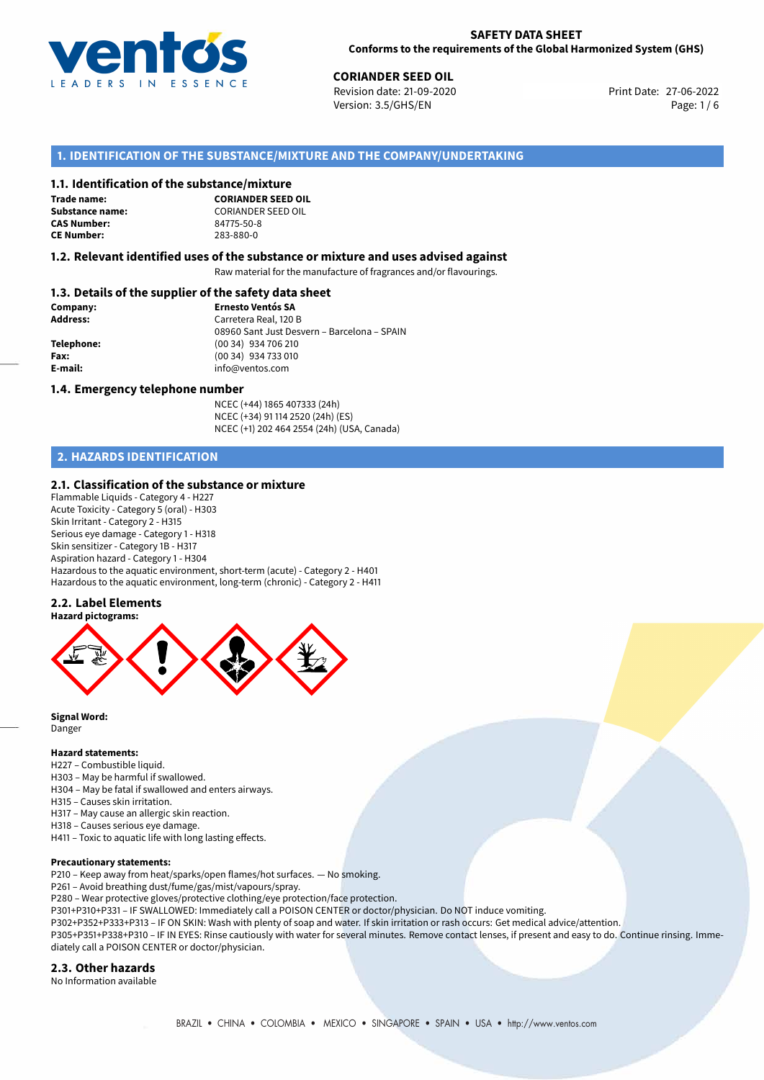

27-06-2022 **CORIANDER SEED OIL** Revision date: 21-09-2020 Print Date: Version: 3.5/GHS/EN Page: 1/6

## **1. IDENTIFICATION OF THE SUBSTANCE/MIXTURE AND THE COMPANY/UNDERTAKING**

#### **1.1. Identification of the substance/mixture**

**Trade name: CAS Number: CE Number:** 283-880-0

**CORIANDER SEED OIL Substance name:** CORIANDER SEED OIL<br> **CAS Number:** 84775-50-8

## **1.2. Relevant identified uses of the substance or mixture and uses advised against**

Raw material for the manufacture of fragrances and/or flavourings.

## **1.3. Details of the supplier of the safety data sheet**

| Company:        | <b>Ernesto Ventós SA</b>                    |  |  |  |  |
|-----------------|---------------------------------------------|--|--|--|--|
| <b>Address:</b> | Carretera Real, 120 B                       |  |  |  |  |
|                 | 08960 Sant Just Desvern - Barcelona - SPAIN |  |  |  |  |
| Telephone:      | (00 34) 934 706 210                         |  |  |  |  |
| Fax:            | (00 34) 934 733 010                         |  |  |  |  |
| E-mail:         | info@ventos.com                             |  |  |  |  |
|                 |                                             |  |  |  |  |

#### **1.4. Emergency telephone number**

NCEC (+44) 1865 407333 (24h) NCEC (+34) 91 114 2520 (24h) (ES) NCEC (+1) 202 464 2554 (24h) (USA, Canada)

## **2. HAZARDS IDENTIFICATION**

#### **2.1. Classification of the substance or mixture**

Flammable Liquids - Category 4 - H227 Acute Toxicity - Category 5 (oral) - H303 Skin Irritant - Category 2 - H315 Serious eye damage - Category 1 - H318 Skin sensitizer - Category 1B - H317 Aspiration hazard - Category 1 - H304 Hazardous to the aquatic environment, short-term (acute) - Category 2 - H401 Hazardous to the aquatic environment, long-term (chronic) - Category 2 - H411

#### **2.2. Label Elements**



**Signal Word:** Danger

#### **Hazard statements:**

H227 – Combustible liquid.

- H303 May be harmful if swallowed.
- H304 May be fatal if swallowed and enters airways.
- H315 Causes skin irritation.
- H317 May cause an allergic skin reaction.
- H318 Causes serious eye damage. H411 – Toxic to aquatic life with long lasting effects.

# **Precautionary statements:**

- P210 Keep away from heat/sparks/open flames/hot surfaces. No smoking.
- P261 Avoid breathing dust/fume/gas/mist/vapours/spray.
- P280 Wear protective gloves/protective clothing/eye protection/face protection.
- P301+P310+P331 IF SWALLOWED: Immediately call a POISON CENTER or doctor/physician. Do NOT induce vomiting.

P302+P352+P333+P313 – IF ON SKIN: Wash with plenty of soap and water. If skin irritation or rash occurs: Get medical advice/attention. P305+P351+P338+P310 – IF IN EYES: Rinse cautiously with water for several minutes. Remove contact lenses, if present and easy to do. Continue rinsing. Immediately call a POISON CENTER or doctor/physician.

#### **2.3. Other hazards**

No Information available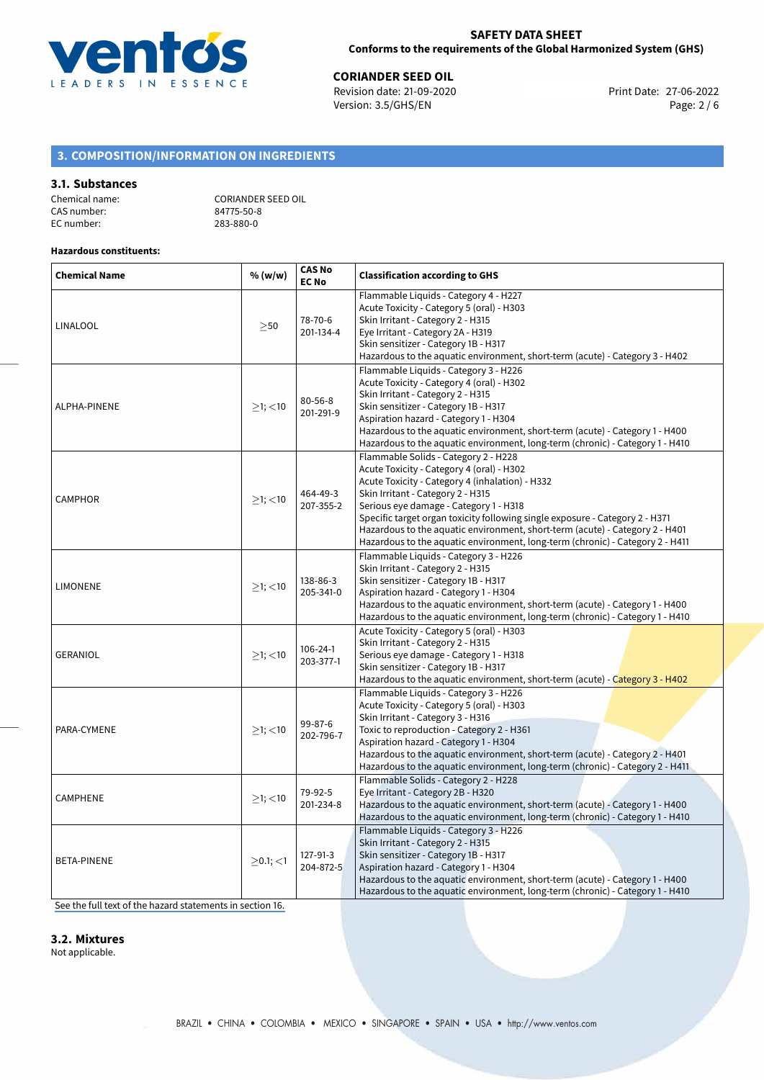

**CORIANDER SEED OIL**<br>
Revision date: 21-09-2020 **Print Date: 27-06-2022** Version: 3.5/GHS/EN Page: 2 / 6

## **3. COMPOSITION/INFORMATION ON INGREDIENTS**

#### **3.1. Substances**

| Chemical name: |  |
|----------------|--|
| CAS number:    |  |
| EC number:     |  |

CORIANDER SEED OIL 84775-50-8 EC number: 283-880-0

## **Hazardous constituents:**

| <b>Chemical Name</b> | % (w/w)        | <b>CAS No</b><br><b>EC No</b> | <b>Classification according to GHS</b>                                                                                                                                                                                                                                                                                                                                                                                                                               |  |  |  |
|----------------------|----------------|-------------------------------|----------------------------------------------------------------------------------------------------------------------------------------------------------------------------------------------------------------------------------------------------------------------------------------------------------------------------------------------------------------------------------------------------------------------------------------------------------------------|--|--|--|
| <b>LINALOOL</b>      | $\geq$ 50      | 78-70-6<br>201-134-4          | Flammable Liquids - Category 4 - H227<br>Acute Toxicity - Category 5 (oral) - H303<br>Skin Irritant - Category 2 - H315<br>Eye Irritant - Category 2A - H319<br>Skin sensitizer - Category 1B - H317<br>Hazardous to the aquatic environment, short-term (acute) - Category 3 - H402                                                                                                                                                                                 |  |  |  |
| ALPHA-PINENE         | $>1$ ; <10     | $80 - 56 - 8$<br>201-291-9    | Flammable Liquids - Category 3 - H226<br>Acute Toxicity - Category 4 (oral) - H302<br>Skin Irritant - Category 2 - H315<br>Skin sensitizer - Category 1B - H317<br>Aspiration hazard - Category 1 - H304<br>Hazardous to the aquatic environment, short-term (acute) - Category 1 - H400<br>Hazardous to the aquatic environment, long-term (chronic) - Category 1 - H410                                                                                            |  |  |  |
| <b>CAMPHOR</b>       | $>1$ ; <10     | 464-49-3<br>207-355-2         | Flammable Solids - Category 2 - H228<br>Acute Toxicity - Category 4 (oral) - H302<br>Acute Toxicity - Category 4 (inhalation) - H332<br>Skin Irritant - Category 2 - H315<br>Serious eye damage - Category 1 - H318<br>Specific target organ toxicity following single exposure - Category 2 - H371<br>Hazardous to the aquatic environment, short-term (acute) - Category 2 - H401<br>Hazardous to the aquatic environment, long-term (chronic) - Category 2 - H411 |  |  |  |
| <b>LIMONENE</b>      | $≥1;$ < 10     | 138-86-3<br>205-341-0         | Flammable Liquids - Category 3 - H226<br>Skin Irritant - Category 2 - H315<br>Skin sensitizer - Category 1B - H317<br>Aspiration hazard - Category 1 - H304<br>Hazardous to the aquatic environment, short-term (acute) - Category 1 - H400<br>Hazardous to the aquatic environment, long-term (chronic) - Category 1 - H410                                                                                                                                         |  |  |  |
| <b>GERANIOL</b>      | $>1$ ; $<$ 10  | $106 - 24 - 1$<br>203-377-1   | Acute Toxicity - Category 5 (oral) - H303<br>Skin Irritant - Category 2 - H315<br>Serious eye damage - Category 1 - H318<br>Skin sensitizer - Category 1B - H317<br>Hazardous to the aquatic environment, short-term (acute) - Category 3 - H402                                                                                                                                                                                                                     |  |  |  |
| PARA-CYMENE          | $≥1;$ < 10     | 99-87-6<br>202-796-7          | Flammable Liquids - Category 3 - H226<br>Acute Toxicity - Category 5 (oral) - H303<br>Skin Irritant - Category 3 - H316<br>Toxic to reproduction - Category 2 - H361<br>Aspiration hazard - Category 1 - H304<br>Hazardous to the aquatic environment, short-term (acute) - Category 2 - H401<br>Hazardous to the aquatic environment, long-term (chronic) - Category 2 - H411                                                                                       |  |  |  |
| <b>CAMPHENE</b>      | $\geq$ 1; <10  | 79-92-5<br>201-234-8          | Flammable Solids - Category 2 - H228<br>Eye Irritant - Category 2B - H320<br>Hazardous to the aquatic environment, short-term (acute) - Category 1 - H400<br>Hazardous to the aquatic environment, long-term (chronic) - Category 1 - H410                                                                                                                                                                                                                           |  |  |  |
| <b>BETA-PINENE</b>   | $>0.1$ ; $<$ 1 | $127 - 91 - 3$<br>204-872-5   | Flammable Liquids - Category 3 - H226<br>Skin Irritant - Category 2 - H315<br>Skin sensitizer - Category 1B - H317<br>Aspiration hazard - Category 1 - H304<br>Hazardous to the aquatic environment, short-term (acute) - Category 1 - H400<br>Hazardous to the aquatic environment, long-term (chronic) - Category 1 - H410                                                                                                                                         |  |  |  |

[See the full text of the hazard statements in section 16.](#page-5-0)

**3.2. Mixtures**

Not applicable.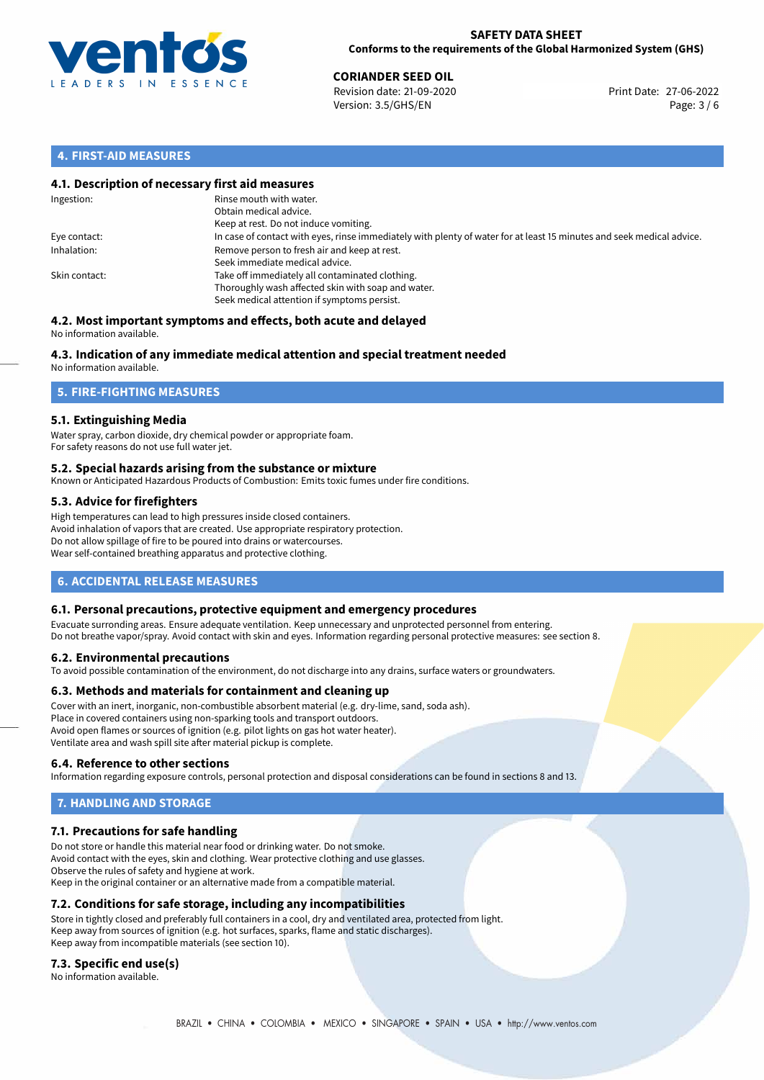

**CORIANDER SEED OIL**<br>
Revision date: 21-09-2020 **Print Date: 27-06-2022** Version: 3.5/GHS/EN Page: 3 / 6

## **4. FIRST-AID MEASURES**

## **4.1. Description of necessary first aid measures**

| Ingestion:    | Rinse mouth with water.<br>Obtain medical advice.<br>Keep at rest. Do not induce vomiting.                                                           |
|---------------|------------------------------------------------------------------------------------------------------------------------------------------------------|
| Eye contact:  | In case of contact with eyes, rinse immediately with plenty of water for at least 15 minutes and seek medical advice.                                |
| Inhalation:   | Remove person to fresh air and keep at rest.<br>Seek immediate medical advice.                                                                       |
| Skin contact: | Take off immediately all contaminated clothing.<br>Thoroughly wash affected skin with soap and water.<br>Seek medical attention if symptoms persist. |

#### **4.2. Most important symptoms and effects, both acute and delayed** No information available.

## **4.3. Indication of any immediate medical attention and special treatment needed**

No information available.

## **5. FIRE-FIGHTING MEASURES**

## **5.1. Extinguishing Media**

Water spray, carbon dioxide, dry chemical powder or appropriate foam. For safety reasons do not use full water jet.

## **5.2. Special hazards arising from the substance or mixture**

Known or Anticipated Hazardous Products of Combustion: Emits toxic fumes under fire conditions.

## **5.3. Advice for firefighters**

High temperatures can lead to high pressures inside closed containers. Avoid inhalation of vapors that are created. Use appropriate respiratory protection. Do not allow spillage of fire to be poured into drains or watercourses. Wear self-contained breathing apparatus and protective clothing.

## **6. ACCIDENTAL RELEASE MEASURES**

## **6.1. Personal precautions, protective equipment and emergency procedures**

Evacuate surronding areas. Ensure adequate ventilation. Keep unnecessary and unprotected personnel from entering. Do not breathe vapor/spray. Avoid contact with skin and eyes. Information regarding personal protective measures: see section 8.

## **6.2. Environmental precautions**

To avoid possible contamination of the environment, do not discharge into any drains, surface waters or groundwaters.

## **6.3. Methods and materials for containment and cleaning up**

Cover with an inert, inorganic, non-combustible absorbent material (e.g. dry-lime, sand, soda ash). Place in covered containers using non-sparking tools and transport outdoors. Avoid open flames or sources of ignition (e.g. pilot lights on gas hot water heater). Ventilate area and wash spill site after material pickup is complete.

## **6.4. Reference to other sections**

Information regarding exposure controls, personal protection and disposal considerations can be found in sections 8 and 13.

# **7. HANDLING AND STORAGE**

## **7.1. Precautions for safe handling**

Do not store or handle this material near food or drinking water. Do not smoke. Avoid contact with the eyes, skin and clothing. Wear protective clothing and use glasses. Observe the rules of safety and hygiene at work. Keep in the original container or an alternative made from a compatible material.

## **7.2. Conditions for safe storage, including any incompatibilities**

Store in tightly closed and preferably full containers in a cool, dry and ventilated area, protected from light. Keep away from sources of ignition (e.g. hot surfaces, sparks, flame and static discharges). Keep away from incompatible materials (see section 10).

## **7.3. Specific end use(s)**

No information available.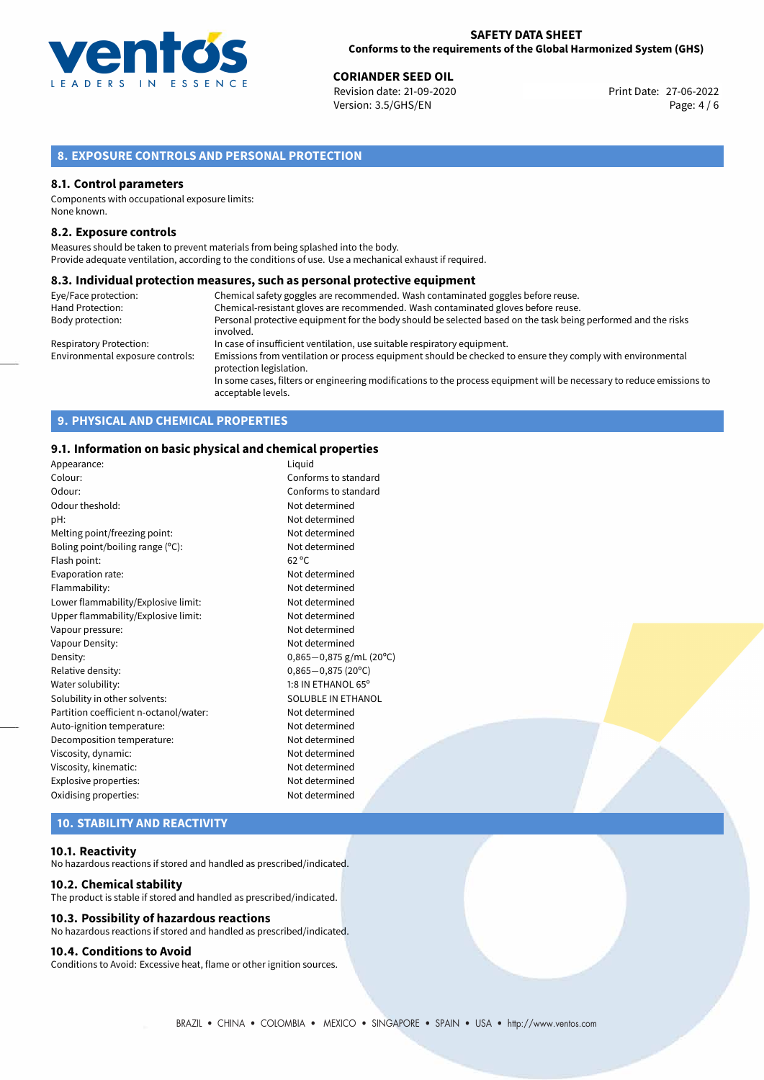

**CORIANDER SEED OIL**<br>
Revision date: 21-09-2020 **Print Date: 27-06-2022** Version: 3.5/GHS/EN Page: 4 / 6

## **8. EXPOSURE CONTROLS AND PERSONAL PROTECTION**

## **8.1. Control parameters**

Components with occupational exposure limits: None known.

## **8.2. Exposure controls**

Measures should be taken to prevent materials from being splashed into the body. Provide adequate ventilation, according to the conditions of use. Use a mechanical exhaust if required.

## **8.3. Individual protection measures, such as personal protective equipment**

| Eye/Face protection:             | Chemical safety goggles are recommended. Wash contaminated goggles before reuse.                                                            |
|----------------------------------|---------------------------------------------------------------------------------------------------------------------------------------------|
| Hand Protection:                 | Chemical-resistant gloves are recommended. Wash contaminated gloves before reuse.                                                           |
| Body protection:                 | Personal protective equipment for the body should be selected based on the task being performed and the risks                               |
|                                  | involved.                                                                                                                                   |
| <b>Respiratory Protection:</b>   | In case of insufficient ventilation, use suitable respiratory equipment.                                                                    |
| Environmental exposure controls: | Emissions from ventilation or process equipment should be checked to ensure they comply with environmental<br>protection legislation.       |
|                                  | In some cases, filters or engineering modifications to the process equipment will be necessary to reduce emissions to<br>acceptable levels. |

## **9. PHYSICAL AND CHEMICAL PROPERTIES**

## **9.1. Information on basic physical and chemical properties**

| Appearance:                            | Liquid                    |
|----------------------------------------|---------------------------|
| Colour:                                | Conforms to standard      |
| Odour:                                 | Conforms to standard      |
| Odour theshold:                        | Not determined            |
| pH:                                    | Not determined            |
| Melting point/freezing point:          | Not determined            |
| Boling point/boiling range (°C):       | Not determined            |
| Flash point:                           | $62^{\circ}$ C            |
| Evaporation rate:                      | Not determined            |
| Flammability:                          | Not determined            |
| Lower flammability/Explosive limit:    | Not determined            |
| Upper flammability/Explosive limit:    | Not determined            |
| Vapour pressure:                       | Not determined            |
| Vapour Density:                        | Not determined            |
| Density:                               | $0,865-0,875$ g/mL (20°C) |
| Relative density:                      | $0,865 - 0,875$ (20°C)    |
| Water solubility:                      | 1:8 IN ETHANOL 65°        |
| Solubility in other solvents:          | SOLUBLE IN ETHANOL        |
| Partition coefficient n-octanol/water: | Not determined            |
| Auto-ignition temperature:             | Not determined            |
| Decomposition temperature:             | Not determined            |
| Viscosity, dynamic:                    | Not determined            |
| Viscosity, kinematic:                  | Not determined            |
| Explosive properties:                  | Not determined            |
| Oxidising properties:                  | Not determined            |
|                                        |                           |

# **10. STABILITY AND REACTIVITY**

#### **10.1. Reactivity**

No hazardous reactions if stored and handled as prescribed/indicated.

#### **10.2. Chemical stability**

The product is stable if stored and handled as prescribed/indicated.

## **10.3. Possibility of hazardous reactions**

No hazardous reactions if stored and handled as prescribed/indicated.

## **10.4. Conditions to Avoid**

Conditions to Avoid: Excessive heat, flame or other ignition sources.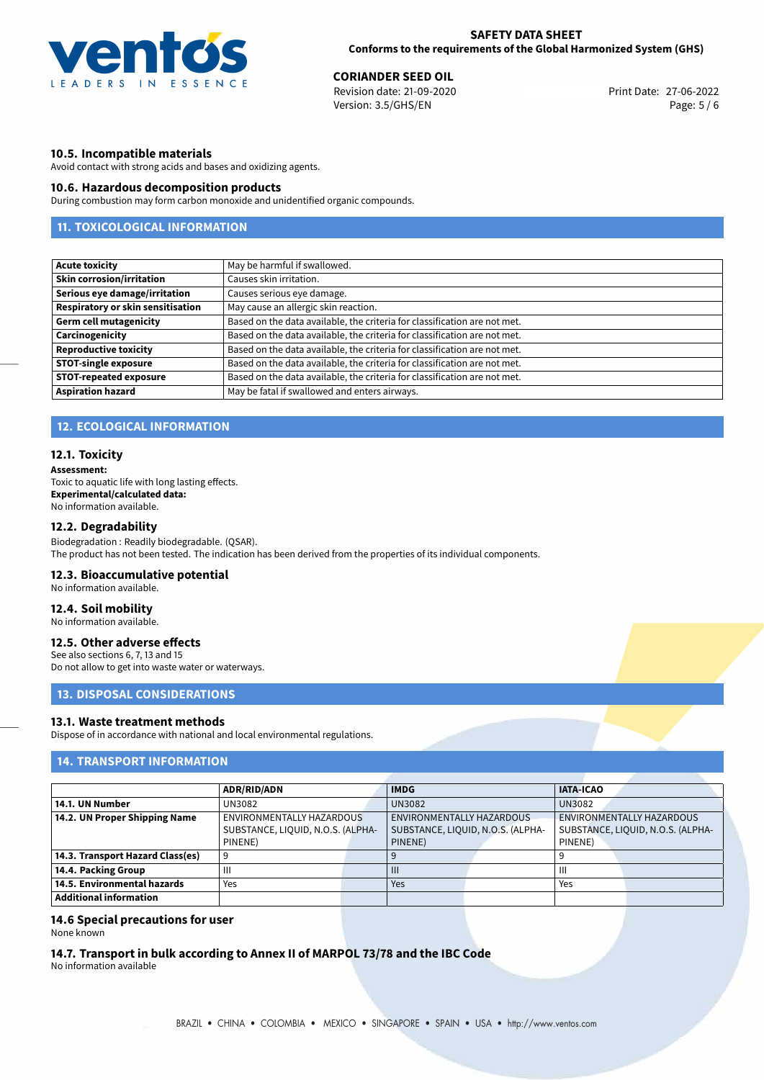

**CORIANDER SEED OIL**<br>
Revision date: 21-09-2020 **Print Date: 27-06-2022** Version: 3.5/GHS/EN Page: 5 / 6

## **10.5. Incompatible materials**

Avoid contact with strong acids and bases and oxidizing agents.

## **10.6. Hazardous decomposition products**

During combustion may form carbon monoxide and unidentified organic compounds.

## **11. TOXICOLOGICAL INFORMATION**

| <b>Acute toxicity</b>             | May be harmful if swallowed.                                              |
|-----------------------------------|---------------------------------------------------------------------------|
| <b>Skin corrosion/irritation</b>  | Causes skin irritation.                                                   |
| Serious eye damage/irritation     | Causes serious eye damage.                                                |
| Respiratory or skin sensitisation | May cause an allergic skin reaction.                                      |
| <b>Germ cell mutagenicity</b>     | Based on the data available, the criteria for classification are not met. |
| Carcinogenicity                   | Based on the data available, the criteria for classification are not met. |
| <b>Reproductive toxicity</b>      | Based on the data available, the criteria for classification are not met. |
| <b>STOT-single exposure</b>       | Based on the data available, the criteria for classification are not met. |
| <b>STOT-repeated exposure</b>     | Based on the data available, the criteria for classification are not met. |
| <b>Aspiration hazard</b>          | May be fatal if swallowed and enters airways.                             |

## **12. ECOLOGICAL INFORMATION**

## **12.1. Toxicity**

**Assessment:**

Toxic to aquatic life with long lasting effects. **Experimental/calculated data:** No information available.

## **12.2. Degradability**

Biodegradation : Readily biodegradable. (QSAR). The product has not been tested. The indication has been derived from the properties of its individual components.

## **12.3. Bioaccumulative potential**

No information available.

## **12.4. Soil mobility**

No information available.

## **12.5. Other adverse effects**

See also sections 6, 7, 13 and 15 Do not allow to get into waste water or waterways.

## **13. DISPOSAL CONSIDERATIONS**

#### **13.1. Waste treatment methods**

Dispose of in accordance with national and local environmental regulations.

## **14. TRANSPORT INFORMATION**

|                                  | <b>ADR/RID/ADN</b>                                                        |  | <b>IMDG</b>                                                               |  | <b>IATA-ICAO</b>                                                          |  |
|----------------------------------|---------------------------------------------------------------------------|--|---------------------------------------------------------------------------|--|---------------------------------------------------------------------------|--|
| 14.1. UN Number                  | UN3082                                                                    |  | <b>UN3082</b>                                                             |  | <b>UN3082</b>                                                             |  |
| 14.2. UN Proper Shipping Name    | ENVIRONMENTALLY HAZARDOUS<br>SUBSTANCE, LIQUID, N.O.S. (ALPHA-<br>PINENE) |  | ENVIRONMENTALLY HAZARDOUS<br>SUBSTANCE, LIQUID, N.O.S. (ALPHA-<br>PINENE) |  | ENVIRONMENTALLY HAZARDOUS<br>SUBSTANCE, LIQUID, N.O.S. (ALPHA-<br>PINENE) |  |
| 14.3. Transport Hazard Class(es) |                                                                           |  |                                                                           |  |                                                                           |  |
| 14.4. Packing Group              | $\mathbf{  }$                                                             |  | $\mathbf{III}$                                                            |  | Ш                                                                         |  |
| 14.5. Environmental hazards      | Yes                                                                       |  | Yes                                                                       |  | Yes                                                                       |  |
| <b>Additional information</b>    |                                                                           |  |                                                                           |  |                                                                           |  |

#### **14.6 Special precautions for user**

None known

**14.7. Transport in bulk according to Annex II of MARPOL 73/78 and the IBC Code**

No information available